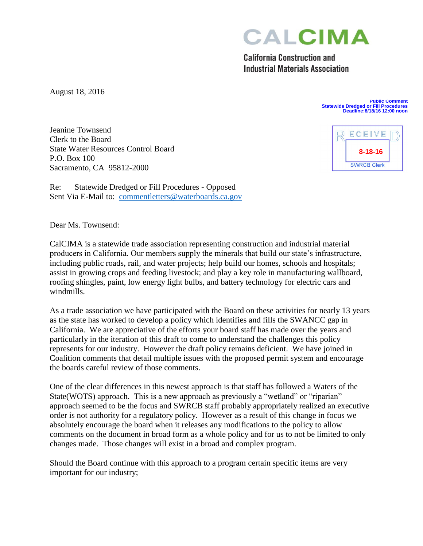**CALCIMA** 

**California Construction and Industrial Materials Association** 

August 18, 2016

**Public Comment Statewide Dredged or Fill Procedures Deadline:8/18/16 12:00 noon**

Jeanine Townsend Clerk to the Board State Water Resources Control Board P.O. Box 100 Sacramento, CA 95812-2000

Re: Statewide Dredged or Fill Procedures - Opposed Sent Via E-Mail to: comment letters@waterboards.ca.gov

Dear Ms. Townsend:

CalCIMA is a statewide trade association representing construction and industrial material producers in California. Our members supply the minerals that build our state's infrastructure, including public roads, rail, and water projects; help build our homes, schools and hospitals; assist in growing crops and feeding livestock; and play a key role in manufacturing wallboard, roofing shingles, paint, low energy light bulbs, and battery technology for electric cars and windmills.

As a trade association we have participated with the Board on these activities for nearly 13 years as the state has worked to develop a policy which identifies and fills the SWANCC gap in California. We are appreciative of the efforts your board staff has made over the years and particularly in the iteration of this draft to come to understand the challenges this policy represents for our industry. However the draft policy remains deficient. We have joined in Coalition comments that detail multiple issues with the proposed permit system and encourage the boards careful review of those comments.

One of the clear differences in this newest approach is that staff has followed a Waters of the State(WOTS) approach. This is a new approach as previously a "wetland" or "riparian" approach seemed to be the focus and SWRCB staff probably appropriately realized an executive order is not authority for a regulatory policy. However as a result of this change in focus we absolutely encourage the board when it releases any modifications to the policy to allow comments on the document in broad form as a whole policy and for us to not be limited to only changes made. Those changes will exist in a broad and complex program.

Should the Board continue with this approach to a program certain specific items are very important for our industry;